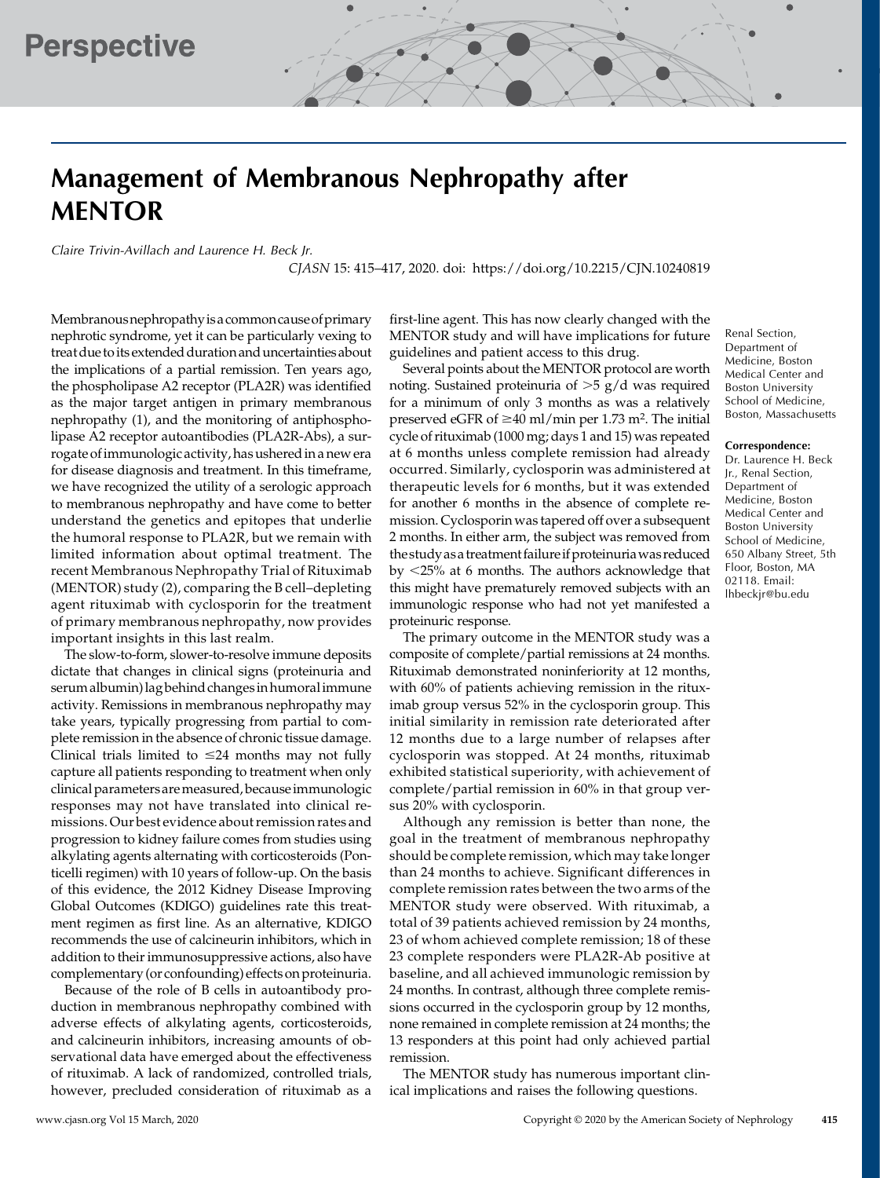# Management of Membranous Nephropathy after MENTOR

Claire Trivin-Avillach and Laurence H. Beck Jr.

CJASN 15: 415–417, 2020. doi:<https://doi.org/10.2215/CJN.10240819>

Membranousnephropathyisa commoncauseofprimary nephrotic syndrome, yet it can be particularly vexing to treatdue toits extended duration and uncertainties about the implications of a partial remission. Ten years ago, the phospholipase A2 receptor (PLA2R) was identified as the major target antigen in primary membranous nephropathy (1), and the monitoring of antiphospholipase A2 receptor autoantibodies (PLA2R-Abs), a surrogate of immunologic activity, has ushered in a new era for disease diagnosis and treatment. In this timeframe, we have recognized the utility of a serologic approach to membranous nephropathy and have come to better understand the genetics and epitopes that underlie the humoral response to PLA2R, but we remain with limited information about optimal treatment. The recent Membranous Nephropathy Trial of Rituximab (MENTOR) study (2), comparing the B cell–depleting agent rituximab with cyclosporin for the treatment of primary membranous nephropathy, now provides important insights in this last realm.

The slow-to-form, slower-to-resolve immune deposits dictate that changes in clinical signs (proteinuria and serum albumin) lag behind changes in humoral immune activity. Remissions in membranous nephropathy may take years, typically progressing from partial to complete remission in the absence of chronic tissue damage. Clinical trials limited to  $\leq$ 24 months may not fully capture all patients responding to treatment when only clinical parameters aremeasured, becauseimmunologic responses may not have translated into clinical remissions. Our best evidence about remission rates and progression to kidney failure comes from studies using alkylating agents alternating with corticosteroids (Ponticelli regimen) with 10 years of follow-up. On the basis of this evidence, the 2012 Kidney Disease Improving Global Outcomes (KDIGO) guidelines rate this treatment regimen as first line. As an alternative, KDIGO recommends the use of calcineurin inhibitors, which in addition to their immunosuppressive actions, also have complementary (or confounding) effects on proteinuria.

Because of the role of B cells in autoantibody production in membranous nephropathy combined with adverse effects of alkylating agents, corticosteroids, and calcineurin inhibitors, increasing amounts of observational data have emerged about the effectiveness of rituximab. A lack of randomized, controlled trials, however, precluded consideration of rituximab as a

first-line agent. This has now clearly changed with the MENTOR study and will have implications for future guidelines and patient access to this drug.

Several points about the MENTOR protocol are worth noting. Sustained proteinuria of  $>5$  g/d was required for a minimum of only 3 months as was a relatively preserved eGFR of  $\geq$ 40 ml/min per 1.73 m<sup>2</sup>. The initial cycle of rituximab (1000 mg; days 1 and 15) was repeated at 6 months unless complete remission had already occurred. Similarly, cyclosporin was administered at therapeutic levels for 6 months, but it was extended for another 6 months in the absence of complete remission. Cyclosporin was tapered off over a subsequent 2 months. In either arm, the subject was removed from the study as a treatment failureif proteinuriawas reduced by  $\langle 25\%$  at 6 months. The authors acknowledge that this might have prematurely removed subjects with an immunologic response who had not yet manifested a proteinuric response.

The primary outcome in the MENTOR study was a composite of complete/partial remissions at 24 months. Rituximab demonstrated noninferiority at 12 months, with 60% of patients achieving remission in the rituximab group versus 52% in the cyclosporin group. This initial similarity in remission rate deteriorated after 12 months due to a large number of relapses after cyclosporin was stopped. At 24 months, rituximab exhibited statistical superiority, with achievement of complete/partial remission in 60% in that group versus 20% with cyclosporin.

Although any remission is better than none, the goal in the treatment of membranous nephropathy should be complete remission, which may take longer than 24 months to achieve. Significant differences in complete remission rates between the two arms of the MENTOR study were observed. With rituximab, a total of 39 patients achieved remission by 24 months, 23 of whom achieved complete remission; 18 of these 23 complete responders were PLA2R-Ab positive at baseline, and all achieved immunologic remission by 24 months. In contrast, although three complete remissions occurred in the cyclosporin group by 12 months, none remained in complete remission at 24 months; the 13 responders at this point had only achieved partial remission.

The MENTOR study has numerous important clinical implications and raises the following questions.

Renal Section, Department of Medicine, Boston Medical Center and Boston University School of Medicine, Boston, Massachusetts

#### Correspondence:

Dr. Laurence H. Beck Jr., Renal Section, Department of Medicine, Boston Medical Center and Boston University School of Medicine, 650 Albany Street, 5th Floor, Boston, MA 02118. Email: [lhbeckjr@bu.edu](mailto:lhbeckjr@bu.edu)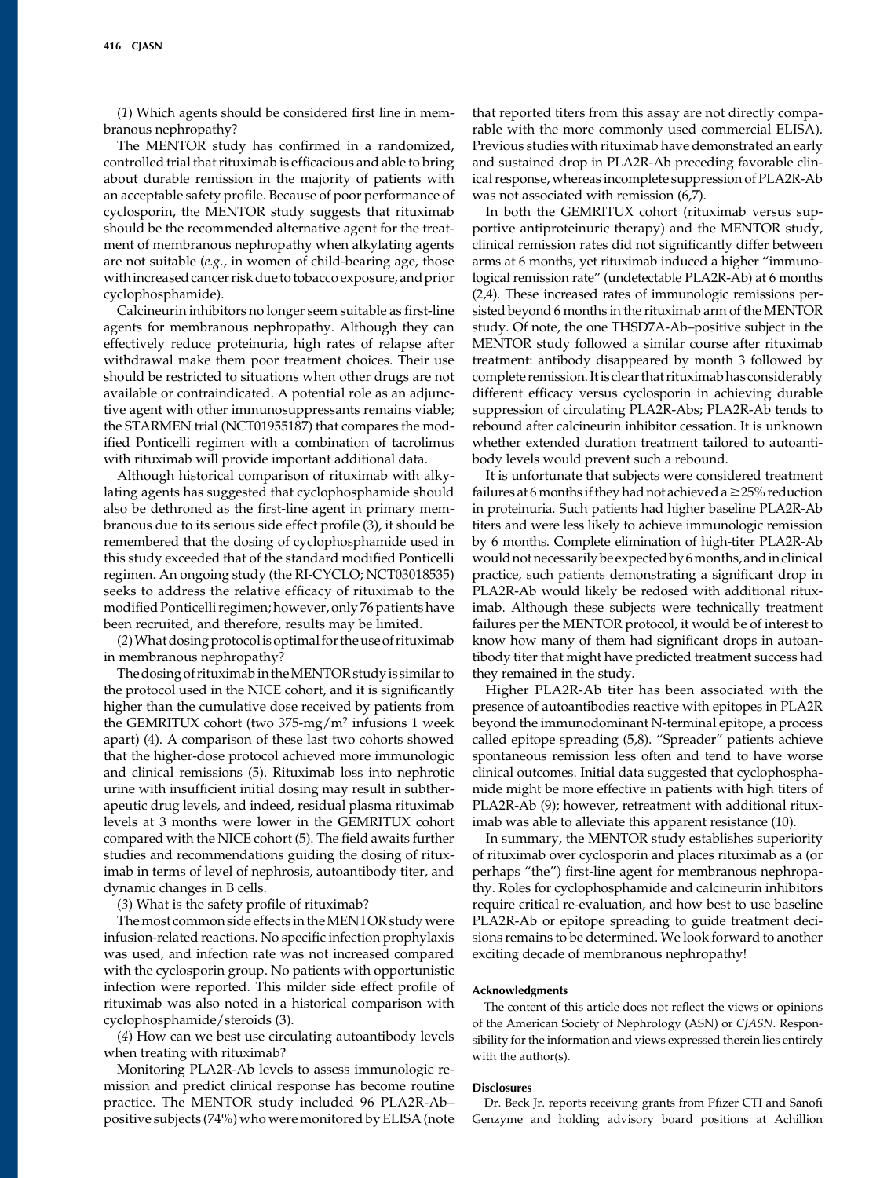(1) Which agents should be considered first line in membranous nephropathy?

The MENTOR study has confirmed in a randomized, controlled trial that rituximab is efficacious and able to bring about durable remission in the majority of patients with an acceptable safety profile. Because of poor performance of cyclosporin, the MENTOR study suggests that rituximab should be the recommended alternative agent for the treatment of membranous nephropathy when alkylating agents are not suitable (e.g., in women of child-bearing age, those withincreased cancer risk due to tobacco exposure, and prior cyclophosphamide).

Calcineurin inhibitors no longer seem suitable as first-line agents for membranous nephropathy. Although they can effectively reduce proteinuria, high rates of relapse after withdrawal make them poor treatment choices. Their use should be restricted to situations when other drugs are not available or contraindicated. A potential role as an adjunctive agent with other immunosuppressants remains viable; the STARMEN trial (NCT01955187) that compares the modified Ponticelli regimen with a combination of tacrolimus with rituximab will provide important additional data.

Although historical comparison of rituximab with alkylating agents has suggested that cyclophosphamide should also be dethroned as the first-line agent in primary membranous due to its serious side effect profile (3), it should be remembered that the dosing of cyclophosphamide used in this study exceeded that of the standard modified Ponticelli regimen. An ongoing study (the RI-CYCLO; NCT03018535) seeks to address the relative efficacy of rituximab to the modified Ponticelli regimen; however, only 76 patients have been recruited, and therefore, results may be limited.

(2)What dosing protocolis optimal for the use of rituximab in membranous nephropathy?

The dosing of rituximab in the MENTOR study is similar to the protocol used in the NICE cohort, and it is significantly higher than the cumulative dose received by patients from the GEMRITUX cohort (two 375-mg/m<sup>2</sup> infusions 1 week apart) (4). A comparison of these last two cohorts showed that the higher-dose protocol achieved more immunologic and clinical remissions (5). Rituximab loss into nephrotic urine with insufficient initial dosing may result in subtherapeutic drug levels, and indeed, residual plasma rituximab levels at 3 months were lower in the GEMRITUX cohort compared with the NICE cohort (5). The field awaits further studies and recommendations guiding the dosing of rituximab in terms of level of nephrosis, autoantibody titer, and dynamic changes in B cells.

(3) What is the safety profile of rituximab?

The most common side effects in theMENTOR study were infusion-related reactions. No specific infection prophylaxis was used, and infection rate was not increased compared with the cyclosporin group. No patients with opportunistic infection were reported. This milder side effect profile of rituximab was also noted in a historical comparison with cyclophosphamide/steroids (3).

(4) How can we best use circulating autoantibody levels when treating with rituximab?

Monitoring PLA2R-Ab levels to assess immunologic remission and predict clinical response has become routine practice. The MENTOR study included 96 PLA2R-Ab– positive subjects (74%) who were monitored by ELISA (note that reported titers from this assay are not directly comparable with the more commonly used commercial ELISA). Previous studies with rituximab have demonstrated an early and sustained drop in PLA2R-Ab preceding favorable clinical response, whereas incomplete suppression of PLA2R-Ab was not associated with remission (6,7).

In both the GEMRITUX cohort (rituximab versus supportive antiproteinuric therapy) and the MENTOR study, clinical remission rates did not significantly differ between arms at 6 months, yet rituximab induced a higher "immunological remission rate" (undetectable PLA2R-Ab) at 6 months (2,4). These increased rates of immunologic remissions persisted beyond 6 months in the rituximab arm of the MENTOR study. Of note, the one THSD7A-Ab–positive subject in the MENTOR study followed a similar course after rituximab treatment: antibody disappeared by month 3 followed by complete remission. Itis clear that rituximab has considerably different efficacy versus cyclosporin in achieving durable suppression of circulating PLA2R-Abs; PLA2R-Ab tends to rebound after calcineurin inhibitor cessation. It is unknown whether extended duration treatment tailored to autoantibody levels would prevent such a rebound.

It is unfortunate that subjects were considered treatment failures at 6 months if they had not achieved a  $\geq$ 25% reduction in proteinuria. Such patients had higher baseline PLA2R-Ab titers and were less likely to achieve immunologic remission by 6 months. Complete elimination of high-titer PLA2R-Ab would not necessarily be expected by 6months, andin clinical practice, such patients demonstrating a significant drop in PLA2R-Ab would likely be redosed with additional rituximab. Although these subjects were technically treatment failures per the MENTOR protocol, it would be of interest to know how many of them had significant drops in autoantibody titer that might have predicted treatment success had they remained in the study.

Higher PLA2R-Ab titer has been associated with the presence of autoantibodies reactive with epitopes in PLA2R beyond the immunodominant N-terminal epitope, a process called epitope spreading (5,8). "Spreader" patients achieve spontaneous remission less often and tend to have worse clinical outcomes. Initial data suggested that cyclophosphamide might be more effective in patients with high titers of PLA2R-Ab (9); however, retreatment with additional rituximab was able to alleviate this apparent resistance (10).

In summary, the MENTOR study establishes superiority of rituximab over cyclosporin and places rituximab as a (or perhaps "the") first-line agent for membranous nephropathy. Roles for cyclophosphamide and calcineurin inhibitors require critical re-evaluation, and how best to use baseline PLA2R-Ab or epitope spreading to guide treatment decisions remains to be determined. We look forward to another exciting decade of membranous nephropathy!

#### Acknowledgments

The content of this article does not reflect the views or opinions of the American Society of Nephrology (ASN) or CJASN. Responsibility for the information and views expressed therein lies entirely with the author(s).

### **Disclosures**

Dr. Beck Jr. reports receiving grants from Pfizer CTI and Sanofi Genzyme and holding advisory board positions at Achillion